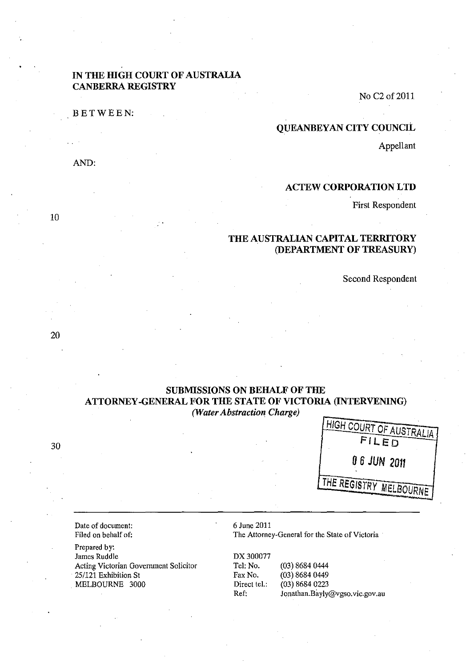### IN THE HIGH COURT OF AUSTRALIA CANBERRA REGISTRY

BETWEEN:

No C2of2011

#### QUEANBEYAN CITY COUNCIL

Appellant

### AND:

### ACTEW CORPORATION LID

First Respondent

# THE AUSTRALIAN CAPITAL TERRITORY (DEPARTMENT OF TREASURY)

Second Respondent

# SUBMISSIONS ON BEHALF OF THE ATTORNEY -GENERAL FOR THE STATE OF VICTORIA (INTERVENING) *(Water Abstraction Charge)*



Date of document: Filed on behalf of:

Prepared by: James Ruddle Acting Victorian Government Solicitor 25/121 Exhibition St MELBOURNE 3000

6 June 2011

The Attorney-General for the State of Victoria

DX300077 Tel: No. (03) 8684 0444 Fax No. (03) 8684 0449 Direct tel.: (03) 8684 0223 Ref: Jonathan.Bayly@vgso.vic.gov.au

10

20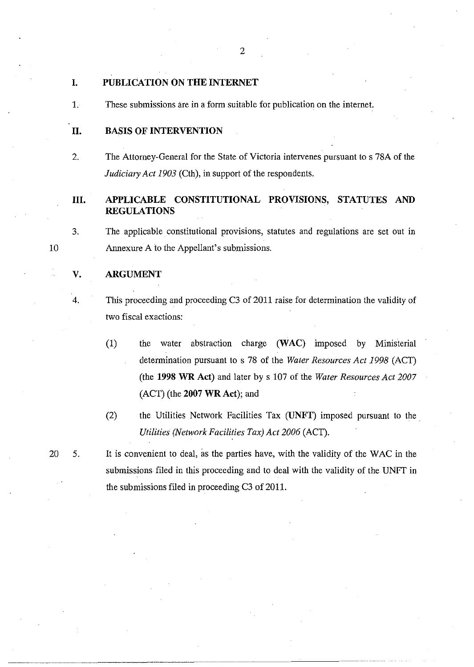### I. PUBLICATION ON THE INTERNET

1. These submissions are in a form suitable for publication on the internet.

### 11. BASIS OF INTERVENTION

2. The Attorney-General for the State of Victoria intervenes pursuant to s 78A of the *Judiciary Act 1903* (Cth), in support of the respondents.

# Ill. APPLICABLE CONSTITUTIONAL PROVISIONS, STATUTES AND REGULATIONS

3. The applicable constitutional provisions, statutes and regulations are set out in Annexure A to the Appellant's submissions.

#### V. ARGUMENT

10

# 4. This proceeding and proceeding C3 of 2011 raise for determination the validity of two fiscal exactions:

- (1) the water abstraction charge (WAC) imposed by Ministerial determination pursuant to s 78 of the *Water Resources Act* 1998 (ACT) (the 1998 WR Act) and later by s 107 of the *Water Resources Act 2007*  (ACT) (the 2007 WR Act); and
- (2) the Utilities Network Facilities Tax (UNFT) imposed pursuant to the *Utilities (Network Facilities Tax) Act 2006* (ACT).

20 5. It is convenient to deal, as the parties have, with the validity of the WAC in the submissions filed in this proceeding and to deal with the validity of the UNFT in the submissions filed in proceeding C3 of 2011.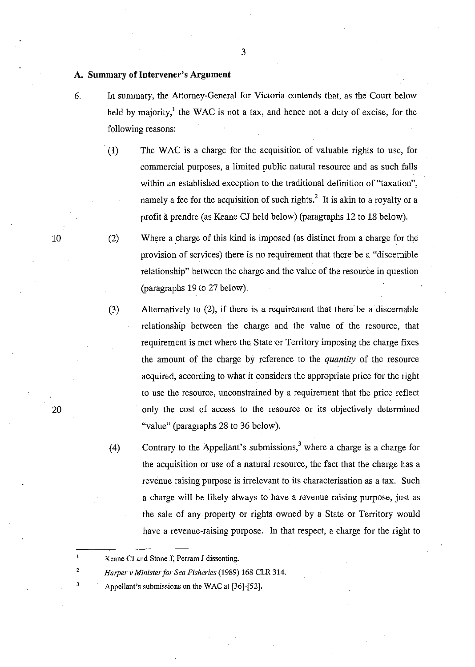#### A. Summary of Intervener's Argument

6. In summary, the Attorney-General for Victoria contends that, as the Court below held by majority, $1$  the WAC is not a tax, and hence not a duty of excise, for the following reasons:

3

(1) The WAC is a charge for the acquisition of valuable rights to use, for commercial purposes, a limited public natural resource and as such falls within an established exception to the traditional definition of "taxation", namely a fee for the acquisition of such rights.<sup>2</sup> It is akin to a royalty or a profit a prendre (as Keane CJ held below) (paragraphs 12 to 18 below).

(2) Where a charge of this kind is imposed (as distinct from a charge for the provision of services) there is no requirement that there be a "discernible relationship" between the charge and the value of the resource in question (paragraphs 19 to 27 below).

(3) Alternatively to (2), if there is a requirement that there' be a discernable relationship between the charge and the value of the resource, that requirement is met where the State or Territory imposing the charge fixes the amount of the charge by reference to the *quantity* of the resource acquired, according to what it considers the appropriate price for the right to use the resource, unconstrained by a requirement that the price reflect only the cost of access to the resource or its objectively determined "value" (paragraphs 28 to 36 below).

(4) Contrary to the Appellant's submissions,<sup>3</sup> where a charge is a charge for the acquisition or use of a natural resource, the fact that the charge has a revenue raising purpose is irrelevant to its characterisation as a tax. Such a charge will be likely always to have a revenue raising purpose, just as the sale of any property or rights owned by a State or Territory would have a revenue-raising purpose. In that respect, a charge for the right to

Appellant's submissions on the WAC at [36]-[52].

10

20

Keane CJ and Stone J, Perram J dissenting.

*Harper v Millister for Sea Fisheries* (1989) 168 CLR 314.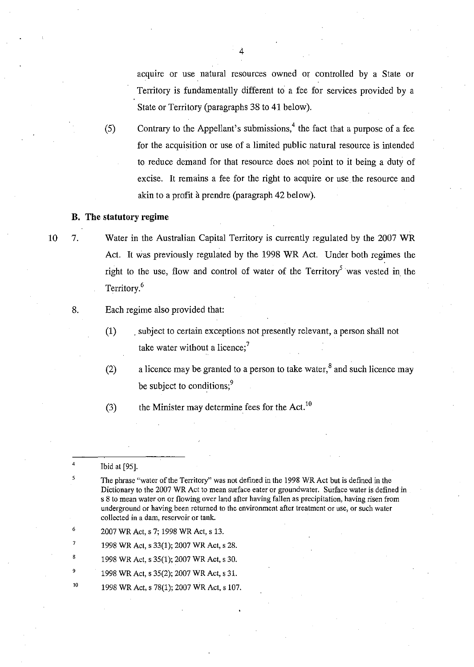acqUire or use natural resources owned or controlled by a State or Territory is fundamentally different to a fee for services provided by a State or Territory (paragraphs 38 to 41 below).

(5) Contrary to the Appellant's submissions,  $4$  the fact that a purpose of a fee for the acquisition or use of a limited public natural resource is intended to reduce demand for that resource does not point to it being a duty of excise. It remains a fee for the right to acquire or use the resource and akin to a profit à prendre (paragraph 42 below).

#### **B. The statutory regime**

10

7. Water in the Australian Capital Territory is currently regulated by the 2007 WR Act. It was previously regulated by the 1998 WR Act. Under both regimes the right to the use, flow and control of water of the Territory<sup>5</sup> was vested in the Territory.<sup>6</sup>

8. Each regime also provided that:

(1) . subject to certain exceptions not presently relevant, a person shall not take water without a licence: $<sup>7</sup>$ </sup>

(2) a licence may be granted to a person to take water, $8$  and such licence may be subject to conditions;<sup>9</sup>

(3) the Minister may determine fees for the Act.<sup>10</sup>

4 Ibid at [95].

5

- The phrase "water of the Territory" was not defined in the 1998 WR Act but is defined in the Dictionary to the 2007 WR Act to mean surface eater or ground water. Surface water is defined in s **8 to mean water on or flowing over land after having fallen as precipitation, having risen from underground or having been returned to the environment after treatment or use, or such water collected in a dam, reservoir or tank.**
- 2007 WR Act, s 7; 1998 WR Act, s 13.

1998 WR Act, s 33(1); 2007 WR Act, s 28.

- 1998 WR Act, s 35(1); 2007 WR Act, s 30.
- 1998 WR Act, s 35(2); 2007 WR Act, s 31.
- 10 1998 WR Act, s 78(1); 2007 WR Act, s 107.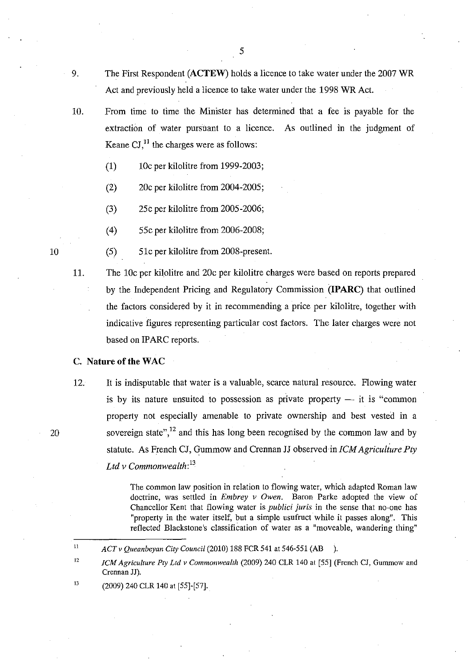- 
- 9. The First Respondent (ACTEW) holds a licence to take water under the 2007 WR Act and previously held a licence to take water under the 1998 WR Act.
- 10. From time to time the Minister has determined that a fee is payable for the extraction of water pursuant to a licence. As outlined in the judgment of Keane  $\text{CI}$ ,<sup>11</sup> the charges were as follows:
	- (1)  $10c$  per kilolitre from 1999-2003;
	- (2) 20c per kilolitre from 2004-2005;
	- (3) 25c per kilolitre from 2005-2006;
	- (4) 55c per kilolitre from 2006-2008;
	- (5) 51c per kilolitre from 2008-present.
- 11. The 10c per kilolitre and 20c per kilolitre charges were based on reports prepared by the Independent Pricing and Regulatory Commission (IPARC) that outlined the factors considered by it in recommending a price per kilolitre, together with indicative figures representing particular cost factors. The later charges were not based on IPARC reports.

### C. Nature of the WAC

12. It is indisputable that water is a valuable, scarce natural resource. Flowing water is by its nature unsuited to possession as private property  $-$  it is "common property not especially amenable to private ownership and best vested in a sovereign state", $^{12}$  and this has long been recognised by the common law and by statute. As French CJ, Gummow and Crennan JJ observed in *ICM Agriculiure Pty Lld v Commonweallh: <sup>13</sup>*

> The common law position in relation to flowing water, which adapted Roman law doctrine, was settled in *Embrey v Owen*. Baron Parke adopted the view of Chancellor Kent that flowing water is *publici juris* in the sense that no-one has "property in the water itself, but a simple usufruct while it passes along". This reflected Blackstone's classification of water as a "moveable, wandering thing"

13 (2009) 240 CLR 140 at [55]-[57].

10

<sup>11</sup>  *ACT v Queanbeyan City Council* (2010) 188 FCR 541 at 546-551 (AB ).

<sup>12</sup>  *ICM Agriculture Pty Ltd v Commonwealth* (2009) 240 CLR 140 at [55] (French CJ, Gummow and Crennan JJ).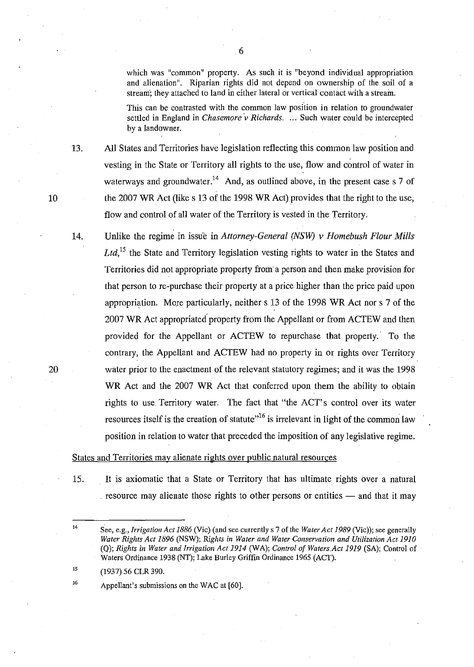which was "common" property. As such it is "beyond individual appropriation and alienation". Riparian rights did not depend on ownership of the soil of a stream'; they attached to land in either lateral or vertical contact with a stream.

This can be contrasted with the common law position in relation to groundwater settled in England in *Chasemore v Richards.* ... Such water could be intercepted by a landowner.

13. All States and Territories have legislation reflecting this common law position and vesting in the State or Territory all rights to the use, flow and control of water in waterways and groundwater.<sup>14</sup> And, as outlined above, in the present case s 7 of the 2007 WR Act (like s 13 of the 1998 WR Act) provides that the right to the use, flow and control of all water of the Territory is vested in the Territory.

14. Unlike the regime in issu'e in *Attorney-General (NSW) v Homebush Flour Mills*  Ltd,<sup>15</sup> the State and Territory legislation vesting rights to water in the States and Territories did not appropriate property from a person and then make provision for that person to re-purchase their property at a price higher than the price paid upon appropriation. More particularly, neither s 13 of the 1998 WR Act nor s 7 of the 2007 WR Act appropriated' property from the Appellant or from ACTEW and then provided for the Appellant or ACTEW to repurchase that property.' To the contrary, the Appellant and ACTEW had no property in or rights over Territory water prior to the enactment of the relevant statutory regimes; and it was the 1998 WR Act and the 2007 WR Act that conferred upon them the ability to obtain rights to use Territory water. The fact that "the ACT's control over its water resources itself is the creation of statute<sup> $,16$ </sup> is irrelevant in light of the common law position in relation to water that preceded the imposition of any legislative regime.

#### States and Territories may alienate rights over public natural resources

16

15. It is axiomatic that a State or Territory that has ultimate rights over a natural resource may alienate those rights to other persons or entities  $-$  and that it may

15 (1937) 56 CLR 390.

Appellant's submissions on the WAC at [60].

6

20

<sup>14</sup>  See, e.g., *Irrigation Act* 1886 (Vic) (and see currently s 7 of the *Water Act* 1989 (Vic)); see generally *Water Rights Act* 1896 (NSW); *Rights in Water and Water Conservation and Utilization Act 1910*  (Q); *Rights in Water and Irrigation Act* 1914 (WA); *Control of Waters.Act* 1919 (SA); Control of Waters Ordinance 1938 (NT); Lake Burley Griffin Ordinance 1965 (ACT).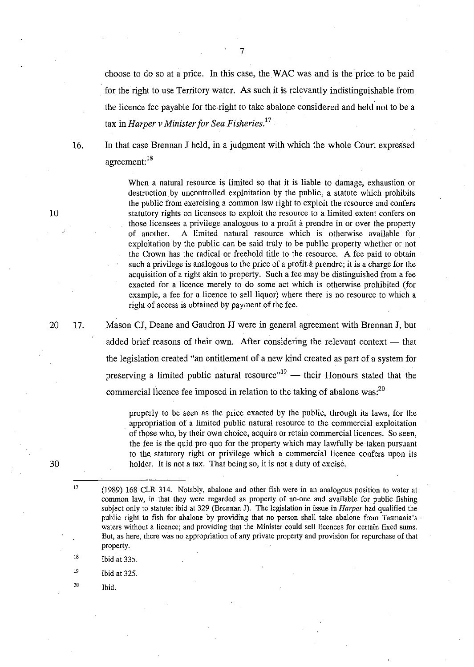choose to do so at a price. In this case, theW AC was and is the price to be paid for the right to use Territory water. As such it is relevantly indistinguishable from the licence fee payable for the.right to take abalone considered and held not to be a tax in *Harper v Minister for Sea Fisheries. 17 .* 

16. In that case Brennan J held, in a judgment with which the whole Court expressed agreement:<sup>18</sup>

> When a natural resource is limited so that it is liable to damage, exhaustion or destruction by uncontrolled exploitation by the public, a statute which prohibits the public from exercising a common law right to exploit the resource and confers statutory rights on licensees to exploit the resource to a limited extent confers on those licensees a privilege analogous to a profit à prendre in or over the property of another. A limited natural resource which is otherwise available for exploitation by the public can be said truly to be public property.whether or not the Crown has the radical or freehold title to the resource. A fee paid to obtain such a privilege is analogous to the price of a profit à prendre; it is a charge for the acquisition of a right akin to property. Such a fee may be distinguished from a fee exacted for a licence merely to do some act which is otherwise prohibited (for example, a fee for a licence to sell liquor) where there is no resource to which a right of access is obtained by payment of the fee.

Mason CJ, Deane and Gaudron JJ were in general agreement with Brennan J, but added brief reasons of their own. After considering the relevant context  $-$  that the legislation created "an entitlement of a new kind created as part of a system for preserving a limited public natural resource<sup> $n<sup>19</sup>$ </sup> - their Honours stated that the commercial licence fee imposed in relation to the taking of abalone was: $^{20}$ 

properly to be seen as the price exacted by the public, through its laws, for the . appropriation of a limited public natural resource to the commercial exploitation of those who, by their own choice, acquire or retain commercial licences. So seen, the fee is the quid pro quo for the property which may lawfully be taken pursuant to the. statutory right or privilege which a commercial licence confers upon its holder. It is not a tax. That being so, it is not a duty of excise.

- 18 Ibid at 335.
- 19 Ibid at 325.
	- Ibid.

20

7

17.

30

17

<sup>(1989) 168</sup> CLR 314. Notably, abalone and other fish were in an analogous position to water at common law, in that they were regarded as property of no-one and available for public fishing subject only to statute: ibid at 329 (Brennan J). The legislation in issue in *Harper* had qualified the public right to fish for abalone by providing that no person shall take abalone from Tasmania's waters without a licence; and providing that the Minister could sell licences for certain fixed sums. But, as here, there was no appropriation of any private property and provision for repurchase of that property.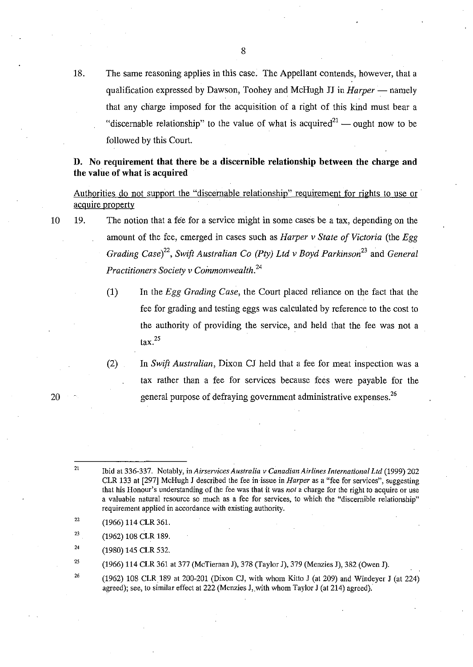18. The same reasoning applies in this case. The Appellant contends, however, that a qualification expressed by Dawson, Toohey and McHugh JJ in *Harper* — namely that any charge imposed for the acquisition of a right of this kind must bear a "discernable relationship" to the value of what is acquired  $a^{21}$  — ought now to be followed by this Court.

### D. No requirement that there be a discernible relationship between the charge and the value of what is acquired

Authorities do not support the "discernable relationship" requirement for rights to use or acquire property

- 19. The notion that a fee for a service might in some cases be a tax, depending on the amount of the fee, emerged in cases such as *Harper v State of Victoria* (the *Egg Grading Case*)<sup>22</sup>, Swift Australian Co (Pty) Ltd v Boyd Parkinson<sup>23</sup> and *General Practitioners Society v Coinmonwealth.<sup>24</sup>*
	- (1) In the *Egg Grading Case,* the Court placed reliance on the fact that the fee for grading and testing eggs was calculated by reference to the cost to the authority of providing the service, and held that the fee was not a  $\text{tax.}^{25}$
	- (2) In *Swift Australian,* Dixon CJ held that a fee for meat inspection was a tax rather than a fee for services because fees were payable for the general purpose of defraying government administrative expenses.<sup>26</sup>

22 (1966) 114 CLR 361.

10

- 23 (1962) 108 CLR 189.
- 24 (1980) 145 CLR 532.
- 25 (1966) 114 CLR 361 at 377 (McTiernan J), 378 (Taylor J), 379 (Menzies J), 382 (Owen J).
- 26 (1962) 108 CLR 189 at 200-201 (Dixon CJ, with whom Kitto J (at 209) and Windeyer J (at 224) agreed); see, to similar effect at 222 (Menzies J, with whom Taylor J (at 214) agreed).

<sup>21</sup>  [bid at 336-337. Notably, in *Airservices Australia v Canadian Airlines International Ltd* (1999) 202 CLR 133 at [297] McHugh J described the fee in issue in *Harper* as a "fee for services", suggesting that his Honour's understanding of the fee was that it was *not* a charge for the right to acquire or use a valuable natural resource so much as a fee for services, to which the "discernible relationship" requirement applied in accordance with existing authority.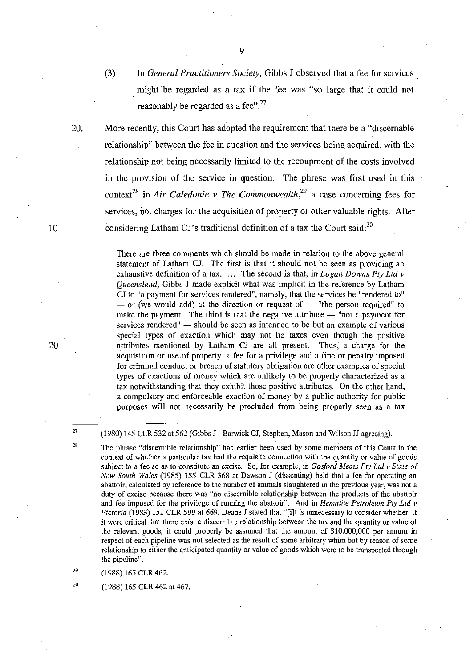(3) In *General Practitioners Society,* Gibbs J observed that a fee for services. might be regarded as a tax if the fee was "so large that it could not reasonably be regarded as a fee".<sup>27</sup>

20. More recently, this Court has adopted the requirement that there be a "discernable relationship" between the fee in question and the services being acquired, with the relationship not being necessarily limited to the recoupment of the costs involved **in** the provision of the service in question. The phrase was first used **in** this context<sup>28</sup> in Air Caledonie v The Commonwealth,<sup>29</sup> a case concerning fees for services, not charges for the acquisition of property or other valuable rights. After considering Latham CJ's traditional definition of a tax the Court said: $30$ 

> There are three comments which should be made in relation to the above general statement of Latham CJ. The first is that it should not be seen as providing an exhaustive definition of a tax. ... The second is that, in *Logan Downs Pty Ltd v Queensland,* Gibbs J made explicit what was implicit in the reference by Latham CJ to "a payment for services rendered", namely, that the services be "rendered to"  $-$  or (we would add) at the direction or request of  $-$  "the person required" to make the payment. The third is that the negative attribute  $-$  "not a payment for services rendered"  $-$  should be seen as intended to be but an example of various special types of exaction which may not be taxes even though the positive attributes mentioned by Latham CJ are all present. Thus, a charge for the acquisition or use·of property, a fee for a privilege and a fine or penalty imposed for criminal.conduct or breach of statutory obligation are other examples of special types of exactions of money which are unlikely to be properly characterized as a tax notwithstanding that they exhibit those positive attributes. On the other hand, a compulsory and enforceable exaction of money by a public authority for public purposes will not necessarily be precluded from being properly seen as a tax

(1980) 145 CLR 532 at 562 (Gibbs J - Barwick Cl, Stephen, Mason and Wilson JJ agreeing).

The phrase "discernible relationship" had earlier been used by some members of this Court in the context of whether a particular tax had the requisite connection with the quantity or value of goods subject to a fee so as 10 constitute an excise. So, for example, in *Gosford Meats Pty Ltd v State of New South Wales* (1985) 155 CLR 368 al Dawson J (dissenting) held that a fee for operating an **abattoir, calculated by reference to the number of animals slaughtered in the previous year, was not a**  duty of excise because there was "no discernible relationship between the products of the abattoir and fee imposed for the privilege of running the abattoir". And in *Hematite Petroleum Pty Ltd v Victoria* (1983) 151 CLR 599 at 669, Deane J stated that "[i]t is unnecessary to consider whether, if it were critical that there exist a discernible relationship between the tax and the quantity or value of the relevant goods, it could properly be assumed that the amount of \$10,000,000 per annum in respect of each pipeline was not selected as the result of some arbitrary whim but by reason of some relationship to eilher the anticipated quantity or value of goods which were to be transported through **the pipeline".** 

(1988) 165 CLR 462.

(1988) 165 CLR 462 at 467.

10

27 28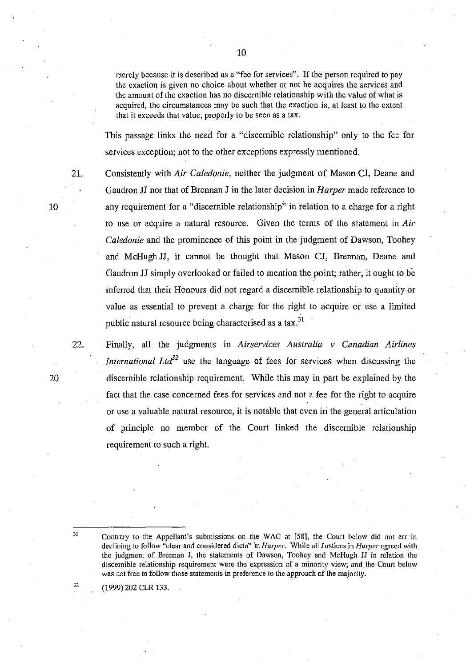merely because it is described as a "fee for services". If the person required to pay the exaction is given no choice about whether or not he acquires the services and the amount of the exaction has no discernible relationship with the value of what is acquired, the circumstances may be such that the exaction is, at least to the extent that it exceeds that value, properly to be seen as a tax.

This passage links the need for a "discernible relationship" only to the fee for services exception; not to the other exceptions expressly mentioned.

21. Consistently with *Air Caledonie,* neither the judgment of Mason CJ, Deane and Gaudron JJ nor that of Brennan J in the later decision in *Harper* made reference to any requirement for a "discernible relationship" in relation to a charge for a right to use or acquire a natural resource. Given the terms of the statement in *Air Caledonie* and the prominence of this point in the judgment of Dawson, Toohey and McHugh JJ, it cannot be thought that Mason CJ, Brennan, Deane and Gaudron JJ simply overlooked or failed to mention the point; rather, it ought to be inferred that their Honours did not regard a discernible relationship to quantity or value as essential to prevent a charge for the right to acquire or use a limited public natural resource being characterised as a tax.<sup>31</sup>

22. Finally, all the judgments in *Airservices Australia v Canadian Airlines International Ltd*<sup>32</sup> use the language of fees for services when discussing the discernible relationship requirement. While this may in part be explained by the fact that the case concerned fees for services and not a fee for the right to acquire or use a valuable natural resource, it is notable that even in the general articulation of principle no member of the Court linked the discernible relationship requirement to such a right.

(1999) 202 CLR 133.

10

20

31

Contrary to the Appellant's submissions on the WAC at [58], the Court below did not err in declining to follow "clear and considered dicta" in *Harper.* While all Justices in *Harper* agreed with the judgment of Brennan J, the statements of Dawson, Toohey and McHugh 11 in relation the **discernible relationship requirement were the expression of a minority view; and. the Court below**  was not free to follow those statements in preference to the approach of the majority.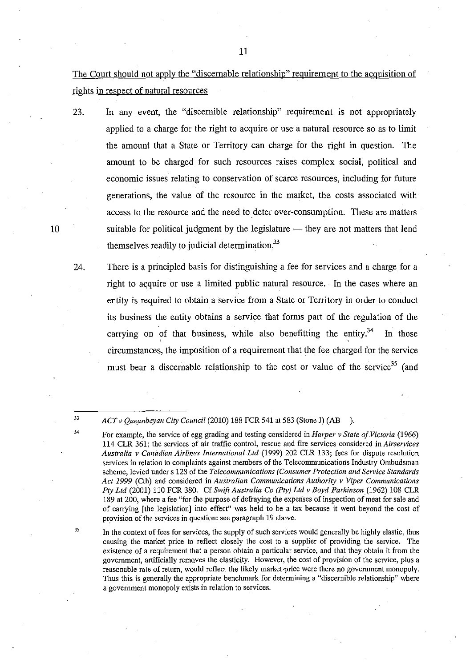The Court should not apply the "discernable relationship" requirement to the acquisition of rights in respect of natural resources

23. In any event, the "discernible relationship" requirement is not appropriately applied to a charge for the right to acquire or use a natural resource so as to limit the amount that a State or Territory can charge for the right in question. The amount to be charged for such resources raises complex social, political and economic issues relating to conservation of scarce resources, including for future generations, the value of the resource in the market, the costs associated with access to the resource and the need to deter over-consumption. These are matters suitable for political judgment by the legislature  $-$  they are not matters that lend themselves readily to judicial determination.<sup>33</sup>

24. There is a principled basis for distinguishing a fee for services and a charge for a right to aGquire or use a limited public natural resource. In the cases where an entity is required to obtain a service from a State or Territory in order to conduct its business the entity obtains a service that forms part of the regulation of the carrying on of that business, while also benefitting the entity.<sup>34</sup> In those circumstances, the imposition of a requirement that the fee charged for the service must bear a discernable relationship to the cost or value of the service<sup>35</sup> (and

33 34

35

*ACT v Queanbeyan City Council* (2010) 188 FCR 541 at 583 (Stone J) (AB ).

In the context of fees for services, the supply of such services would generally be highly elastic, thus causing the market price to reflect closely the cost to a supplier of providing the service. The existence of a requirement that a person obtain a particular service, and that they obtain it from the government, artificially removes the elasticity. However, the cost of provision of the service, plus a reasonable rate of return, would reflect the likely market·price were there no government monopoly. Thus this is generally the appropriate benchmark for determining a "discernible relationship" where **a government monopoly exists in relation to services.** 

For example, the service of egg grading and testing considered in *Harper v State of Victoria* (1966) **114 CLR 361; the services of air traffic control, rescue and fire services considered in** *Airservices Australia v Canadian Airlines International Ltd* (1999) 202 CLR 133; fees for dispute resolution **services in relation to complaints against members of the Telecommunications Industry Ombudsman scheme, levied under s 128 of the** *Telecommunications (Consumer Protection and Service-Standards Act* 1999 (Cth) and considered in *Australian Communications Authority v Viper Communications Pty Ltd* (2001) 110 FCR 380. Cf *Swift Australia Co (Pty) Ltd v Boyd Parkinson* (1962) 108 CLR 189 at 200, where a fee "for the purpose of defraying the expenses of inspection of meat for sale and of carrying [the legislation] into effect" was held to be a tax because it went beyond the cost of provision of the services in question: see paragraph 19 above.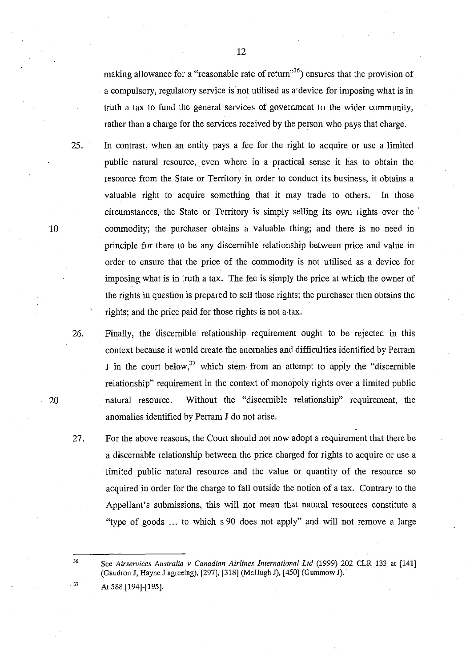making allowance for a "reasonable rate of return"<sup>36</sup>) ensures that the provision of a compulsory, regulatory service is not utilised as a'device for imposing what is in truth a tax to fund the general services of government to the wider community, rather than a charge for the services received by the person who pays that charge.

25. In contrast, when an entity pays a fee for the right to acquire or use a limited public natural resource, even where in a practical sense it has to obtain the resource from the State or Territory in order to conduct its business, it obtains a valuable right to acquire something that it may trade to others. In those circumstances, the State or Territory is simply selling its own rights over the . commodity; the purchaser obtains a valuable thing; and there is no need in principle for there to be any discernible relationship between price and value in order to ensure that the price of the commodity is not utilised as a device for imposing what is in truth a tax. The fee is simply the price at which the owner of the rights in question is prepared to sell those rights; the purchaser then obtains the rights; and the price paid for those rights is not a tax.

26. Finally, the discernible relationship requirement ought to be rejected in this context because it would create the anomalies and difficulties identified by Perram J in the court below,<sup>37</sup> which stem from an attempt to apply the "discernible" relationship" requirement in the context of monopoly rights over a limited public natural resource. Without the "discernible relationship" requirement, the anomalies identified by Perram J do not arise.

27. For the above reasons, the Court should not now adopt a requirement that there be a discernable relationship between the price charged for rights to acquire or use a limited public natural resource and the value or quantity of the resource so acquired in order for the charge to fall outside the notionof a tax. Contrary to the Appellant's submissions, this will not mean that natural resources constitute a "type of goods ... to which s 90 does not apply" and will not remove a large

See *Airservices Australia v Canadian Airlines International Ltd* (1999) 202 CLR 133 at [141] (Gaudron J, Hayne J agreeing), [297], [318] (McHugh J), [450] (Gummow J). At 588 [194]-[195].

37

36

10

- 
- 
-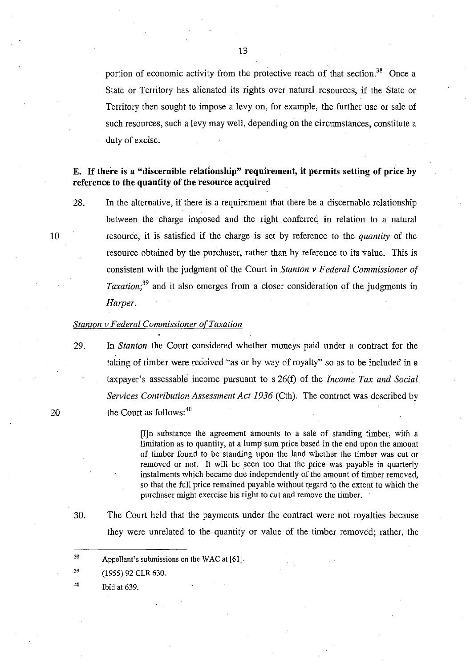portion of economic activity from the protective reach of that section.<sup>38</sup> Once a State or Territory has alienated its rights over natural resources, if the State or Territory then sought to impose a levy on, for example, the further use or sale of such resources, such a levy may well, depending on the circumstances, constitute a duty of excise.

# E. If there is a "discernible relationship" requirement, it permits setting of price by reference to the quantity of the resource acquired

28. In the alternative, if there is a requirement that there be a discernable relationship between the charge imposed and the right conferred in relation to a natural resource, it is satisfied if the charge is set by reference to the *quantity* of the resource obtained by the purchaser, rather than by reference to its value. This is consistent with the judgment of the Court in *Stanton v Federal Commissioner of Taxation*;<sup>39</sup> and it also emerges from a closer consideration of the judgments in *Harper.* 

#### *Stanton v Federal Commissioner of Taxation*

29. In *Stanton* the Court considered whether moneys paid under a contract for the taking of timber were received "as or by way of royalty" so as to be included in a taxpayer's assessable income pursuant to s 26(f) of the *Income Tax and Social Services Contribution Assessment Act* 1936 (Cth). The contract was described by the Court as follows: 4o

> [I]n substance the agreement amounts to a sale of standing timber, with a limitation as to quantity, at a lump sum price based in the end upon the amount of timber found to be standing upon the land whether the timber was cut or removed or not. It will be seen too that the price was payable in quarterly instalments which became due independently of the amount of timber removed, so that the full price remained payable without regard to the extent to which the purchaser might exercise his right to cut and remove the timber.

30. The Court held that the payments under the contract were not royalties because they were unrelated to the quantity or value of the timber removed; rather, the

40 Ibid at 639.

10

<sup>38</sup>  Appellant's submissions on the WAC at [61].

<sup>39</sup>  (1955) 92 CLR 630.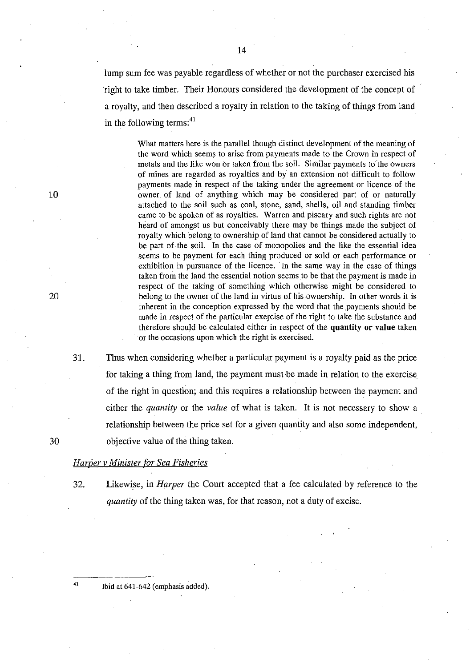lump sum fee was payable regardless of whether or not the purchaser exercised his 'right to take timber. Their Honours considered the development of the concept of a royalty, and then described a royalty in relation to the taking of things from land in the following terms: $41$ 

> What matters here is the parallel though distinct development of the meaning of the word which seems to arise from payments made to the Crown in respect of metals and the like won or taken from the soil. Similar payments to'the owners of mines are regarded as royalties and by' an extension not difficult to follow payments made in respect of the taking under the agreement or licence of the owner of land of anything which may be considered part of or naturally attached to the soil such as coal, stone, sand, shells, oil and standing timber came to be spoken of as royalties. Warren and piscary and such rights are not heard of amongst us but conceivably there may be things made the subject of royalty which belong to ownership of land that cannot be considered actually to be part of the soil. In the case of monopolies and the like the essential idea seems to be payment for each thing produced or sold or each performance or exhibition in pursuance of the licence. 'In the same way in the case of things taken from the land the essential notion seems to be that the payment is made in respect of the taking of something which otherwise might be considered to belong to the owner of the land in virtue of his ownership. In other words it is inherent in the conception expressed by the word that the payments should be made in respect of the particular exercise of the right to take the substance and therefore should be calculated either in respect of the **quautity or** value taken or the occasions upon which the right is exercised.

Thus when considering whether a particular payment is a royalty paid as the price for taking a thing from land, the payment must be made in relation to the exercise of the right in question; and this requires a relationship between the payment and either the *quantity* or the *value* of what is taken. It is not necessary to show a relationship between the price set for a given quantity and also some independent, objective value of the thing taken.

### *Harper v Minister for Sea Fisheries*

32. Likewise, in *Harper* the Court accepted that a fee calculated by reference to the *quantity* of the thing taken was, for that reason, not a duty of excise.

 $41$  Ibid at 641-642 (emphasis added).

20

31.

10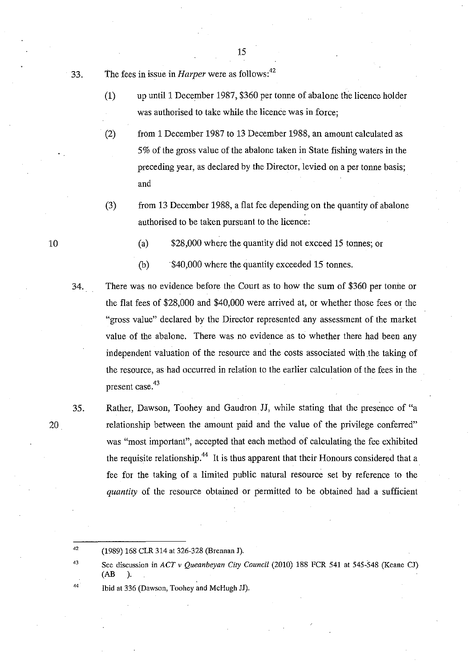33. The fees in issue in *Harper* were as follows: <sup>42</sup>

(1) up until 1 December 1987, \$360 per tonne of abalone the licence holder was authorised to take while the licence was in force;

15

- (2) from 1 December 1987 to 13 December 1988, an amount calculated as 5% of the gross value of the abalone taken in State fishing waters in the preceding year, as declared by the Director, levied on a per tonne basis; and
- (3) from 13 December 1988, a flat fee depending on the quantity of abalone authorised to be taken pursuant to the licence:
	- (a) \$28,000 where the quantity did not exceed 15 tonnes; or
	- (b) \$40,000 where the quantity exceeded 15 tonnes.
- 34. There was no evidence before the Court as to how the sum of \$360 per tonne or the flat fees of \$28,000 and \$40,000 were arrived at, or whether those fees or the "gross value" declared by the Director represented any assessment of the market value of the abalone. There was no evidence as to whether there had been any independent valuation of the resource and the costs associated with the taking of the resource, as· had occurred in relation to the earlier calculation of the fees in the present case. 43
	- Rather, Dawson, Toohey and Gaudron JJ, while stating that the presence of "a relationship between the amount paid and the value of the privilege conferred" was "most important", accepted that each method of calculating the fee exhibited the requisite relationship.<sup>44</sup> It is thus apparent that their Honours considered that a fee for the taking of a limited public natural resource set by reference to the *quantity* of the resource obtained or permitted to be obtained had a sufficient

Ibid at 336 (Dawson, Toohey and McHugh JJ).

10

35.

20

<sup>42</sup>  (1989) 168 CLR 314 at 326-328 (Brennan J).

<sup>43</sup>  See discussion in *ACT* v *Queanbeyan City Council* (2010) 188 FCR 541 at 545-548 (Keane CJ) (AB ).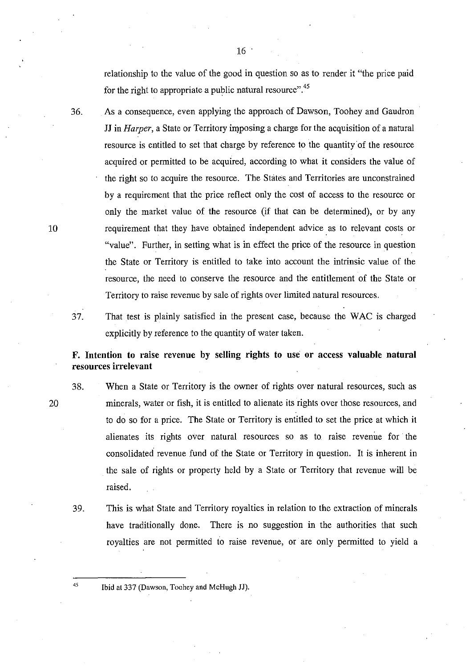relationship to the value of the good in question so as to render it "the price paid for the right to appropriate a public natural resource".45

36. As a consequence, even applying the approach of Dawson, Toohey and Gaudron JJ in *Harper*, a State or Territory imposing a charge for the acquisition of a natural resource is entitled to set that charge by reference to the quantity of the resource acquired or pennitted to be acquired, according to what it considers the value of the right so to acquire the resource. The States and Territories are unconstrained by a requirement that the price reflect only the cost of access to the resource or only the market value of the resource (if that can be detennined), or by any requirement that they have obtained independent advice as to relevant costs or "value". Further, in setting what is in effect the price of the resource in question the State or Territory is entitled to take into account the intrinsic value of the resource, the need to conserve the resource and the entitlement of the State or Territory to raise revenue by sale of rights over limited natural resources.

37. That test is plainly satisfied in the present case, because the WAC is charged explicitly by reference to the quantity of water taken.

F. Intention to raise revenue by selling rights to use or access valuable natural resources irrelevant

- 38. When a State or Territory is the owner of rights over natural resources, such as minerals, water or fish, it is entitled to alienate its rights over those resources, and to do so for a price. The State or Territory is entitled to set the price at which it alienates its rights over natural resources so as to raise revenue for the consolidated revenue fund of the State or Territory in question. It is inherent in the sale of rights or property held by a State or Territory that revenue will be raised.
	- 39. This is what State and Territory royalties in relation to the extraction of minerals have traditionally done. There is no suggestion in the authorities that such royalties are not permitted to raise revenue, or are only pennitted to yield a

45 Ibid at 337 (Dawson, Toohey and McHugh JJ).

20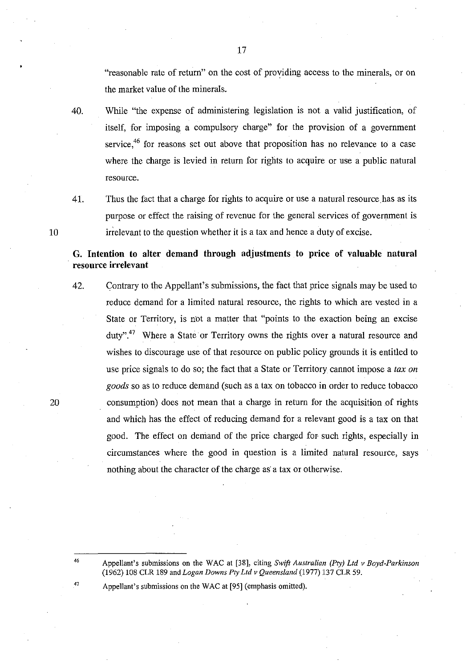"reasonable rate of return" on the cost of providing access to the minerals, or on the market value of the minerals.

- 40. While "the expense of administering legislation is not a valid justification, of itself, for imposing a compulsory charge" for the provision of a government service,<sup>46</sup> for reasons set out above that proposition has no relevance to a case where the charge is levied in return for rights to acquire or use a public natural resource.
- 

10

41. Thus the fact that a charge for rights to acquire or use a natural resource has as its purpose or effect the raising of revenue for the general services of government is irrelevant to the question whether it is a tax and hence a duty of excise.

# G. Intention to alter demand through adjustments to price of valuable natural . resource irrelevant

- 42. Contrary to the Appellant's submissions, the fact that price signals may be used to reduce demand for a limited natural resource, the rights to which are vested in a State or Territory, is not a matter that "points to the exaction being an excise duty".<sup>47</sup> Where a State or Territory owns the rights over a natural resource and wishes to discourage use of that resource on public policy grounds it is entitled to use price signals to do so; the fact that a State or Territory cannot impose a *tax on goods* so as to reduce demand (such as a tax on tobacco in order to reduce tobacco consumption) does not mean that a charge in return for the acquisition of rights and which has the effect of reducing demand for a relevant good is a tax on that good. The effect on demand of the price charged for such rights, especially in circumstances where the good in question is a limited natural resource, says nothing about the character of the charge as a tax or otherwise.
- 20

46

47

Appellant's submissions on the WAC at [95] (emphasis omitted).

Appellant's submissions on the WAC at [38], citing *Swift Australian (Pty) Ltd v Boyd-Parkinson*  (1962) 108 CLR 189 and *Logan Downs Pty Ltd v Queensland* (1977) 137 CLR 59.